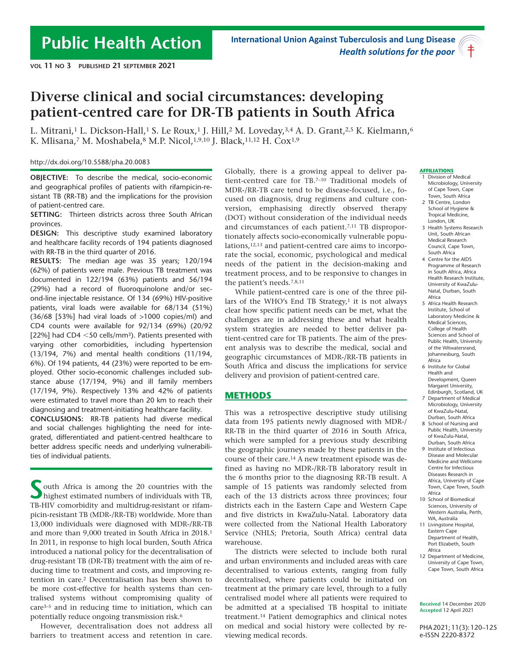# **Diverse clinical and social circumstances: developing patient-centred care for DR-TB patients in South Africa**

L. Mitrani,<sup>1</sup> L. Dickson-Hall,<sup>1</sup> S. Le Roux,<sup>1</sup> J. Hill,<sup>2</sup> M. Loveday,<sup>3,4</sup> A. D. Grant,<sup>2,5</sup> K. Kielmann,<sup>6</sup> K. Mlisana,<sup>7</sup> M. Moshabela, 8 M.P. Nicol, 1,9,10 J. Black, <sup>11, 12</sup> H. Cox<sup>1,9</sup>

http://dx.doi.org/10.5588/pha.20.0083

**OBJECTIVE:** To describe the medical, socio-economic and geographical profiles of patients with rifampicin-resistant TB (RR-TB) and the implications for the provision of patient-centred care.

**SETTING:** Thirteen districts across three South African provinces.

**DESIGN:** This descriptive study examined laboratory and healthcare facility records of 194 patients diagnosed with RR-TB in the third quarter of 2016.

**RESULTS:** The median age was 35 years; 120/194 (62%) of patients were male. Previous TB treatment was documented in 122/194 (63%) patients and 56/194 (29%) had a record of fluoroquinolone and/or second-line injectable resistance. Of 134 (69%) HIV-positive patients, viral loads were available for 68/134 (51%) (36/68 [53%] had viral loads of >1000 copies/ml) and CD4 counts were available for 92/134 (69%) (20/92 [22%] had CD4  $<$  50 cells/mm<sup>3</sup>). Patients presented with varying other comorbidities, including hypertension (13/194, 7%) and mental health conditions (11/194, 6%). Of 194 patients, 44 (23%) were reported to be employed. Other socio-economic challenges included substance abuse (17/194, 9%) and ill family members (17/194, 9%). Respectively 13% and 42% of patients were estimated to travel more than 20 km to reach their diagnosing and treatment-initiating healthcare facility.

**CONCLUSIONS:** RR-TB patients had diverse medical and social challenges highlighting the need for integrated, differentiated and patient-centred healthcare to better address specific needs and underlying vulnerabilities of individual patients.

outh Africa is among the 20 countries with the highest estimated numbers of individuals with TB, TB-HIV comorbidity and multidrug-resistant or rifampicin-resistant TB (MDR-/RR-TB) worldwide. More than 13,000 individuals were diagnosed with MDR-/RR-TB and more than 9,000 treated in South Africa in 2018.1 In 2011, in response to high local burden, South Africa introduced a national policy for the decentralisation of drug-resistant TB (DR-TB) treatment with the aim of reducing time to treatment and costs, and improving retention in care.2 Decentralisation has been shown to be more cost-effective for health systems than centralised systems without compromising quality of care3–5 and in reducing time to initiation, which can potentially reduce ongoing transmission risk.6

However, decentralisation does not address all barriers to treatment access and retention in care.

Globally, there is a growing appeal to deliver patient-centred care for TB.7–10 Traditional models of MDR-/RR-TB care tend to be disease-focused, i.e., focused on diagnosis, drug regimens and culture conversion, emphasising directly observed therapy (DOT) without consideration of the individual needs and circumstances of each patient.<sup>7,11</sup> TB disproportionately affects socio-economically vulnerable populations,12,13 and patient-centred care aims to incorporate the social, economic, psychological and medical needs of the patient in the decision-making and treatment process, and to be responsive to changes in the patient's needs.7,8,11

While patient-centred care is one of the three pillars of the WHO's End TB Strategy, $1$  it is not always clear how specific patient needs can be met, what the challenges are in addressing these and what health system strategies are needed to better deliver patient-centred care for TB patients. The aim of the present analysis was to describe the medical, social and geographic circumstances of MDR-/RR-TB patients in South Africa and discuss the implications for service delivery and provision of patient-centred care.

#### **METHODS**

This was a retrospective descriptive study utilising data from 195 patients newly diagnosed with MDR-/ RR-TB in the third quarter of 2016 in South Africa, which were sampled for a previous study describing the geographic journeys made by these patients in the course of their care.14 A new treatment episode was defined as having no MDR-/RR-TB laboratory result in the 6 months prior to the diagnosing RR-TB result. A sample of 15 patients was randomly selected from each of the 13 districts across three provinces; four districts each in the Eastern Cape and Western Cape and five districts in KwaZulu-Natal. Laboratory data were collected from the National Health Laboratory Service (NHLS; Pretoria, South Africa) central data warehouse.

The districts were selected to include both rural and urban environments and included areas with care decentralised to various extents, ranging from fully decentralised, where patients could be initiated on treatment at the primary care level, through to a fully centralised model where all patients were required to be admitted at a specialised TB hospital to initiate treatment.14 Patient demographics and clinical notes on medical and social history were collected by reviewing medical records.

#### **AFFILIATIONS**

- 1 Division of Medical Microbiology, University of Cape Town, Cape Town, South Africa
- 2 TB Centre, London School of Hygiene & Tropical Medicine, London, UK
- 3 Health Systems Research Unit, South African Medical Research Council, Cape Town, South Africa
- 4 Centre for the AIDS Programme of Research in South Africa, Africa Health Research Institute, University of KwaZulu-Natal, Durban, South Africa
- 5 Africa Health Research Institute, School of Laboratory Medicine & Medical Sciences, College of Health Sciences and School of Public Health, University of the Witwatersrand, Johannesburg, South Africa
- 6 Institute for Global Health and Development, Queen Margaret University, Edinburgh, Scotland, UK
- 7 Department of Medical Microbiology, University of KwaZulu-Natal, Durban, South Africa
- 8 School of Nursing and Public Health, University of KwaZulu-Natal, Durban, South Africa
- 9 Institute of Infectious Disease and Molecular Medicine and Wellcome Centre for Infectious Diseases Research in Africa, University of Cape Town, Cape Town, South Africa
- 10 School of Biomedical Sciences, University of Western Australia, Perth, WA, Australia
- 11 Livingstone Hospital, Eastern Cape Department of Health, Port Elizabeth, South Africa
- 12 Department of Medicine, University of Cape Town, Cape Town, South Africa

**Received** 14 December 2020 **Accepted** 12 April 2021

PHA 2021; 11(3): 120–125 e-ISSN 2220-8372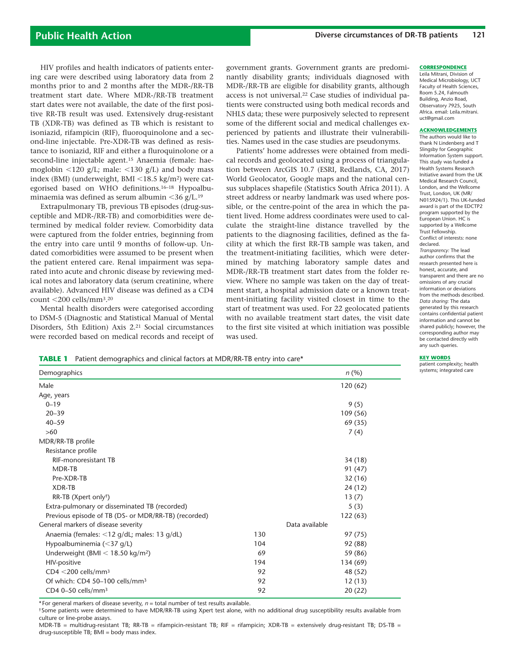HIV profiles and health indicators of patients entering care were described using laboratory data from 2 months prior to and 2 months after the MDR-/RR-TB treatment start date. Where MDR-/RR-TB treatment start dates were not available, the date of the first positive RR-TB result was used. Extensively drug-resistant TB (XDR-TB) was defined as TB which is resistant to isoniazid, rifampicin (RIF), fluoroquinolone and a second-line injectable. Pre-XDR-TB was defined as resistance to isoniazid, RIF and either a fluroquinolone or a second-line injectable agent.15 Anaemia (female: haemoglobin  $\langle 120 \text{ g/L} \rangle$ ; male:  $\langle 130 \text{ g/L} \rangle$  and body mass index (BMI) (underweight, BMI  $\langle 18.5 \text{ kg/m}^2 \rangle$  were categorised based on WHO definitions.16–18 Hypoalbuminaemia was defined as serum albumin  $\langle 36 \text{ g/L}.^{19} \rangle$ 

Extrapulmonary TB, previous TB episodes (drug-susceptible and MDR-/RR-TB) and comorbidities were determined by medical folder review. Comorbidity data were captured from the folder entries, beginning from the entry into care until 9 months of follow-up. Undated comorbidities were assumed to be present when the patient entered care. Renal impairment was separated into acute and chronic disease by reviewing medical notes and laboratory data (serum creatinine, where available). Advanced HIV disease was defined as a CD4 count  $\leq 200$  cells/mm<sup>3</sup>.<sup>20</sup>

Mental health disorders were categorised according to DSM-5 (Diagnostic and Statistical Manual of Mental Disorders, 5th Edition) Axis 2.21 Social circumstances were recorded based on medical records and receipt of

government grants. Government grants are predominantly disability grants; individuals diagnosed with MDR-/RR-TB are eligible for disability grants, although access is not universal.22 Case studies of individual patients were constructed using both medical records and NHLS data; these were purposively selected to represent some of the different social and medical challenges experienced by patients and illustrate their vulnerabilities. Names used in the case studies are pseudonyms.

Patients' home addresses were obtained from medical records and geolocated using a process of triangulation between ArcGIS 10.7 (ESRI, Redlands, CA, 2017) World Geolocator, Google maps and the national census subplaces shapefile (Statistics South Africa 2011). A street address or nearby landmark was used where possible, or the centre-point of the area in which the patient lived. Home address coordinates were used to calculate the straight-line distance travelled by the patients to the diagnosing facilities, defined as the facility at which the first RR-TB sample was taken, and the treatment-initiating facilities, which were determined by matching laboratory sample dates and MDR-/RR-TB treatment start dates from the folder review. Where no sample was taken on the day of treatment start, a hospital admission date or a known treatment-initiating facility visited closest in time to the start of treatment was used. For 22 geolocated patients with no available treatment start dates, the visit date to the first site visited at which initiation was possible was used.

#### **CORRESPONDENCE**

Leila Mitrani, Division of Medical Microbiology, UCT Faculty of Health Sciences, Room 5.24, Falmouth Building, Anzio Road, Observatory 7925, South Africa. email: Leila.mitrani. uct@gmail.com

#### **ACKNOWLEDGEMENTS**

The authors would like to thank N Lindenberg and T Slingsby for Geographic Information System support. This study was funded a Health Systems Research Initiative award from the UK Medical Research Council, London, and the Wellcome Trust, London, UK (MR/ N015924/1). This UK-funded award is part of the EDCTP2 program supported by the European Union. HC is supported by a Wellcome Trust Fellowship. Conflict of interests: none declared. *Transparency:* The lead author confirms that the research presented here is honest, accurate, and transparent and there are no omissions of any crucial information or deviations from the methods described. *Data sharing:* The data generated by this research contains confidential patient information and cannot be shared publicly; however, the corresponding author may be contacted directly with any such queries.

#### **KEY WORDS**

patient complexity; health systems: integrated care

|  |  | <b>TABLE 1</b> Patient demographics and clinical factors at MDR/RR-TB entry into care* |  |
|--|--|----------------------------------------------------------------------------------------|--|
|--|--|----------------------------------------------------------------------------------------|--|

| Demographics                                         |     | n(%)           |
|------------------------------------------------------|-----|----------------|
| Male                                                 |     | 120(62)        |
| Age, years                                           |     |                |
| $0 - 19$                                             |     | 9(5)           |
| $20 - 39$                                            |     | 109 (56)       |
| $40 - 59$                                            |     | 69 (35)        |
| $>60$                                                |     | 7(4)           |
| MDR/RR-TB profile                                    |     |                |
| Resistance profile                                   |     |                |
| <b>RIF-monoresistant TB</b>                          |     | 34 (18)        |
| MDR-TB                                               |     | 91 (47)        |
| Pre-XDR-TB                                           |     | 32(16)         |
| <b>XDR-TB</b>                                        |     | 24 (12)        |
| RR-TB (Xpert only <sup>†</sup> )                     |     | 13(7)          |
| Extra-pulmonary or disseminated TB (recorded)        |     | 5(3)           |
| Previous episode of TB (DS- or MDR/RR-TB) (recorded) |     | 122(63)        |
| General markers of disease severity                  |     | Data available |
| Anaemia (females: <12 g/dL; males: 13 g/dL)          | 130 | 97 (75)        |
| Hypoalbuminemia ( $<$ 37 q/L)                        | 104 | 92 (88)        |
| Underweight (BMI $<$ 18.50 kg/m <sup>2</sup> )       | 69  | 59 (86)        |
| HIV-positive                                         | 194 | 134 (69)       |
| CD4 <200 cells/mm <sup>3</sup>                       | 92  | 48 (52)        |
| Of which: CD4 50-100 cells/mm <sup>3</sup>           | 92  | 12(13)         |
| CD4 0-50 cells/mm <sup>3</sup>                       | 92  | 20(22)         |

\* For general markers of disease severity,  $n =$  total number of test results available.

†Some patients were determined to have MDR/RR-TB using Xpert test alone, with no additional drug susceptibility results available from culture or line-probe assays.

MDR-TB = multidrug-resistant TB; RR-TB = rifampicin-resistant TB; RIF = rifampicin; XDR-TB = extensively drug-resistant TB; DS-TB = drug-susceptible TB; BMI = body mass index.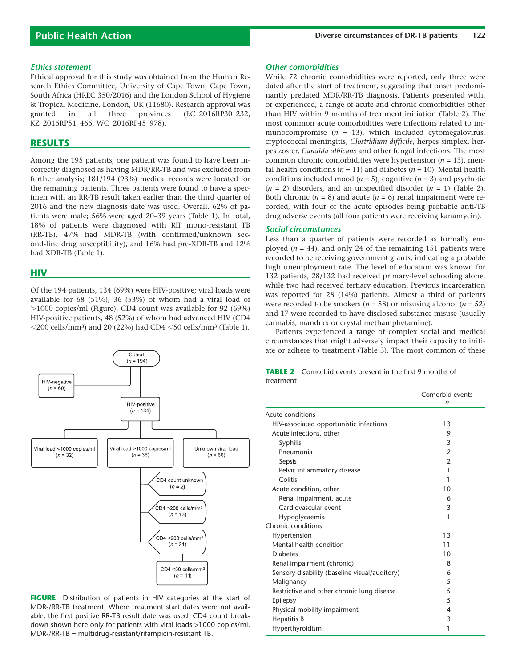#### *Ethics statement*

Ethical approval for this study was obtained from the Human Research Ethics Committee, University of Cape Town, Cape Town, South Africa (HREC 350/2016) and the London School of Hygiene & Tropical Medicine, London, UK (11680). Research approval was granted in all three provinces (EC\_2016RP30\_232, KZ\_2016RP51\_466, WC\_2016RP45\_978).

#### **RESULTS**

Among the 195 patients, one patient was found to have been incorrectly diagnosed as having MDR/RR-TB and was excluded from further analysis; 181/194 (93%) medical records were located for the remaining patients. Three patients were found to have a specimen with an RR-TB result taken earlier than the third quarter of 2016 and the new diagnosis date was used. Overall, 62% of patients were male; 56% were aged 20–39 years (Table 1). In total, 18% of patients were diagnosed with RIF mono-resistant TB (RR-TB), 47% had MDR-TB (with confirmed/unknown second-line drug susceptibility), and 16% had pre-XDR-TB and 12% had XDR-TB (Table 1).

#### **HIV**

Of the 194 patients, 134 (69%) were HIV-positive; viral loads were available for 68 (51%), 36 (53%) of whom had a viral load of  $>1000$  copies/ml (Figure). CD4 count was available for 92 (69%) HIV-positive patients, 48 (52%) of whom had advanced HIV (CD4  $\langle$  200 cells/mm<sup>3</sup>) and 20 (22%) had CD4  $\langle$  50 cells/mm<sup>3</sup> (Table 1).



**FIGURE** Distribution of patients in HIV categories at the start of MDR-/RR-TB treatment. Where treatment start dates were not available, the first positive RR-TB result date was used. CD4 count breakdown shown here only for patients with viral loads >1000 copies/ml. MDR-/RR-TB = multidrug-resistant/rifampicin-resistant TB.

#### *Other comorbidities*

While 72 chronic comorbidities were reported, only three were dated after the start of treatment, suggesting that onset predominantly predated MDR/RR-TB diagnosis. Patients presented with, or experienced, a range of acute and chronic comorbidities other than HIV within 9 months of treatment initiation (Table 2). The most common acute comorbidities were infections related to immunocompromise (*n* = 13), which included cytomegalovirus, cryptococcal meningitis, *Clostridium difficile*, herpes simplex, herpes zoster, *Candida albicans* and other fungal infections. The most common chronic comorbidities were hypertension (*n* = 13), mental health conditions ( $n = 11$ ) and diabetes ( $n = 10$ ). Mental health conditions included mood ( $n = 5$ ), cognitive ( $n = 3$ ) and psychotic  $(n = 2)$  disorders, and an unspecified disorder  $(n = 1)$  (Table 2). Both chronic  $(n = 8)$  and acute  $(n = 6)$  renal impairment were recorded, with four of the acute episodes being probable anti-TB drug adverse events (all four patients were receiving kanamycin).

#### *Social circumstances*

Less than a quarter of patients were recorded as formally employed  $(n = 44)$ , and only 24 of the remaining 151 patients were recorded to be receiving government grants, indicating a probable high unemployment rate. The level of education was known for 132 patients, 28/132 had received primary-level schooling alone, while two had received tertiary education. Previous incarceration was reported for 28 (14%) patients. Almost a third of patients were recorded to be smokers ( $n = 58$ ) or misusing alcohol ( $n = 52$ ) and 17 were recorded to have disclosed substance misuse (usually cannabis, mandrax or crystal methamphetamine).

Patients experienced a range of complex social and medical circumstances that might adversely impact their capacity to initiate or adhere to treatment (Table 3). The most common of these

|           | <b>TABLE 2</b> Comorbid events present in the first 9 months of |  |
|-----------|-----------------------------------------------------------------|--|
| treatment |                                                                 |  |

|                                               | Comorbid events<br>n |
|-----------------------------------------------|----------------------|
| Acute conditions                              |                      |
| HIV-associated opportunistic infections       | 13                   |
| Acute infections, other                       | 9                    |
| Syphilis                                      | 3                    |
| Pneumonia                                     | $\overline{2}$       |
| Sepsis                                        | $\overline{2}$       |
| Pelvic inflammatory disease                   | 1                    |
| Colitis                                       | 1                    |
| Acute condition, other                        | 10                   |
| Renal impairment, acute                       | 6                    |
| Cardiovascular event                          | 3                    |
| Hypoglycaemia                                 | 1                    |
| Chronic conditions                            |                      |
| Hypertension                                  | 13                   |
| Mental health condition                       | 11                   |
| <b>Diabetes</b>                               | 10                   |
| Renal impairment (chronic)                    | 8                    |
| Sensory disability (baseline visual/auditory) | 6                    |
| Malignancy                                    | 5                    |
| Restrictive and other chronic lung disease    | 5                    |
| Epilepsy                                      | 5                    |
| Physical mobility impairment                  | 4                    |
| <b>Hepatitis B</b>                            | 3                    |
| Hyperthyroidism                               | 1                    |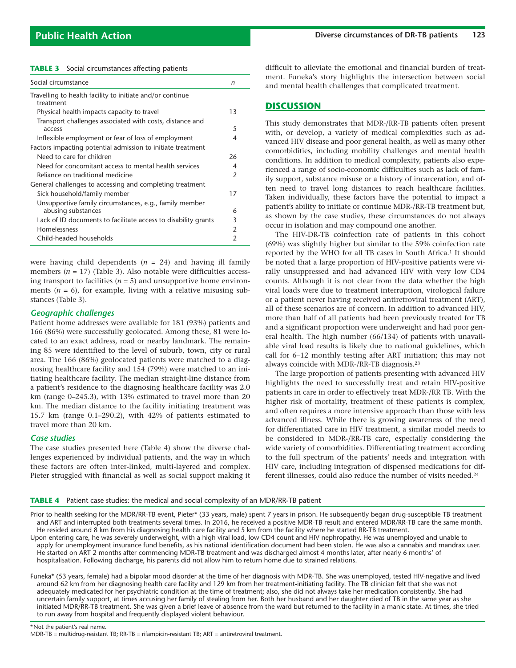|  |  | <b>TABLE 3</b> Social circumstances affecting patients |  |  |
|--|--|--------------------------------------------------------|--|--|
|--|--|--------------------------------------------------------|--|--|

| Social circumstance                                                    | n             |
|------------------------------------------------------------------------|---------------|
| Travelling to health facility to initiate and/or continue<br>treatment |               |
| Physical health impacts capacity to travel                             | 13            |
| Transport challenges associated with costs, distance and<br>access     | 5             |
| Inflexible employment or fear of loss of employment                    | 4             |
| Factors impacting potential admission to initiate treatment            |               |
| Need to care for children                                              | 26            |
| Need for concomitant access to mental health services                  | 4             |
| Reliance on traditional medicine                                       | $\mathcal{P}$ |
| General challenges to accessing and completing treatment               |               |
| Sick household/family member                                           | 17            |
| Unsupportive family circumstances, e.g., family member                 |               |
| abusing substances                                                     | 6             |
| Lack of ID documents to facilitate access to disability grants         | 3             |
| Homelessness                                                           | 2             |
| Child-headed households                                                | 2             |

were having child dependents  $(n = 24)$  and having ill family members (*n* = 17) (Table 3). Also notable were difficulties accessing transport to facilities  $(n = 5)$  and unsupportive home environments  $(n = 6)$ , for example, living with a relative misusing substances (Table 3).

## *Geographic challenges*

Patient home addresses were available for 181 (93%) patients and 166 (86%) were successfully geolocated. Among these, 81 were located to an exact address, road or nearby landmark. The remaining 85 were identified to the level of suburb, town, city or rural area. The 166 (86%) geolocated patients were matched to a diagnosing healthcare facility and 154 (79%) were matched to an initiating healthcare facility. The median straight-line distance from a patient's residence to the diagnosing healthcare facility was 2.0 km (range 0–245.3), with 13% estimated to travel more than 20 km. The median distance to the facility initiating treatment was 15.7 km (range 0.1–290.2), with 42% of patients estimated to travel more than 20 km.

# *Case studies*

The case studies presented here (Table 4) show the diverse challenges experienced by individual patients, and the way in which these factors are often inter-linked, multi-layered and complex. Pieter struggled with financial as well as social support making it difficult to alleviate the emotional and financial burden of treatment. Funeka's story highlights the intersection between social and mental health challenges that complicated treatment.

# **DISCUSSION**

This study demonstrates that MDR-/RR-TB patients often present with, or develop, a variety of medical complexities such as advanced HIV disease and poor general health, as well as many other comorbidities, including mobility challenges and mental health conditions. In addition to medical complexity, patients also experienced a range of socio-economic difficulties such as lack of family support, substance misuse or a history of incarceration, and often need to travel long distances to reach healthcare facilities. Taken individually, these factors have the potential to impact a patient's ability to initiate or continue MDR-/RR-TB treatment but, as shown by the case studies, these circumstances do not always occur in isolation and may compound one another.

The HIV-DR-TB coinfection rate of patients in this cohort (69%) was slightly higher but similar to the 59% coinfection rate reported by the WHO for all TB cases in South Africa.<sup>1</sup> It should be noted that a large proportion of HIV-positive patients were virally unsuppressed and had advanced HIV with very low CD4 counts. Although it is not clear from the data whether the high viral loads were due to treatment interruption, virological failure or a patient never having received antiretroviral treatment (ART), all of these scenarios are of concern. In addition to advanced HIV, more than half of all patients had been previously treated for TB and a significant proportion were underweight and had poor general health. The high number (66/134) of patients with unavailable viral load results is likely due to national guidelines, which call for 6–12 monthly testing after ART initiation; this may not always coincide with MDR-/RR-TB diagnosis.23

The large proportion of patients presenting with advanced HIV highlights the need to successfully treat and retain HIV-positive patients in care in order to effectively treat MDR-/RR TB. With the higher risk of mortality, treatment of these patients is complex, and often requires a more intensive approach than those with less advanced illness. While there is growing awareness of the need for differentiated care in HIV treatment, a similar model needs to be considered in MDR-/RR-TB care, especially considering the wide variety of comorbidities. Differentiating treatment according to the full spectrum of the patients' needs and integration with HIV care, including integration of dispensed medications for different illnesses, could also reduce the number of visits needed.24

**TABLE 4** Patient case studies: the medical and social complexity of an MDR/RR-TB patient

Prior to health seeking for the MDR/RR-TB event, Pieter\* (33 years, male) spent 7 years in prison. He subsequently began drug-susceptible TB treatment and ART and interrupted both treatments several times. In 2016, he received a positive MDR-TB result and entered MDR/RR-TB care the same month. He resided around 8 km from his diagnosing health care facility and 5 km from the facility where he started RR-TB treatment.

Upon entering care, he was severely underweight, with a high viral load, low CD4 count and HIV nephropathy. He was unemployed and unable to apply for unemployment insurance fund benefits, as his national identification document had been stolen. He was also a cannabis and mandrax user. He started on ART 2 months after commencing MDR-TB treatment and was discharged almost 4 months later, after nearly 6 months' of hospitalisation. Following discharge, his parents did not allow him to return home due to strained relations.

Funeka\* (53 years, female) had a bipolar mood disorder at the time of her diagnosis with MDR-TB. She was unemployed, tested HIV-negative and lived around 62 km from her diagnosing health care facility and 129 km from her treatment-initiating facility. The TB clinician felt that she was not adequately medicated for her psychiatric condition at the time of treatment; also, she did not always take her medication consistently. She had uncertain family support, at times accusing her family of stealing from her. Both her husband and her daughter died of TB in the same year as she initiated MDR/RR-TB treatment. She was given a brief leave of absence from the ward but returned to the facility in a manic state. At times, she tried to run away from hospital and frequently displayed violent behaviour.

\*Not the patient's real name. MDR-TB = multidrug-resistant TB; RR-TB = rifampicin-resistant TB; ART = antiretroviral treatment.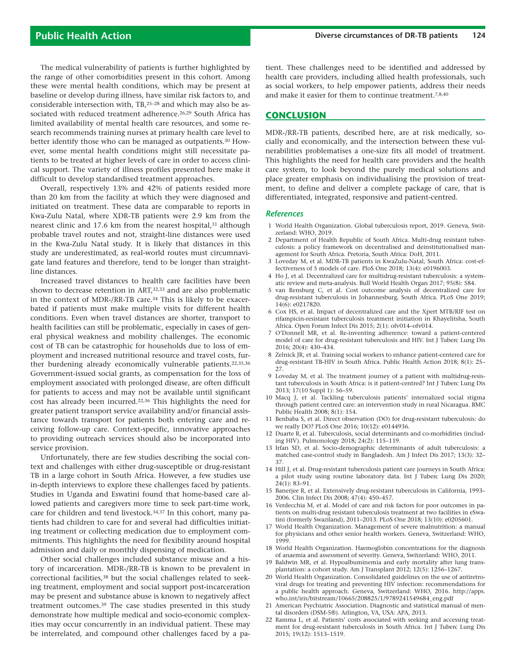The medical vulnerability of patients is further highlighted by the range of other comorbidities present in this cohort. Among these were mental health conditions, which may be present at baseline or develop during illness, have similar risk factors to, and considerable intersection with, TB,25–28 and which may also be associated with reduced treatment adherence.<sup>26,29</sup> South Africa has limited availability of mental health care resources, and some research recommends training nurses at primary health care level to better identify those who can be managed as outpatients.<sup>30</sup> However, some mental health conditions might still necessitate patients to be treated at higher levels of care in order to access clinical support. The variety of illness profiles presented here make it difficult to develop standardised treatment approaches.

Overall, respectively 13% and 42% of patients resided more than 20 km from the facility at which they were diagnosed and initiated on treatment. These data are comparable to reports in Kwa-Zulu Natal, where XDR-TB patients were 2.9 km from the nearest clinic and 17.6 km from the nearest hospital,<sup>31</sup> although probable travel routes and not, straight-line distances were used in the Kwa-Zulu Natal study. It is likely that distances in this study are underestimated, as real-world routes must circumnavigate land features and therefore, tend to be longer than straightline distances.

Increased travel distances to health care facilities have been shown to decrease retention in ART,32,33 and are also problematic in the context of MDR-/RR-TB care.34 This is likely to be exacerbated if patients must make multiple visits for different health conditions. Even when travel distances are shorter, transport to health facilities can still be problematic, especially in cases of general physical weakness and mobility challenges. The economic cost of TB can be catastrophic for households due to loss of employment and increased nutritional resource and travel costs, further burdening already economically vulnerable patients.<sup>22,35,36</sup> Government-issued social grants, as compensation for the loss of employment associated with prolonged disease, are often difficult for patients to access and may not be available until significant cost has already been incurred.22,36 This highlights the need for greater patient transport service availability and/or financial assistance towards transport for patients both entering care and receiving follow-up care. Context-specific, innovative approaches to providing outreach services should also be incorporated into service provision.

Unfortunately, there are few studies describing the social context and challenges with either drug-susceptible or drug-resistant TB in a large cohort in South Africa. However, a few studies use in-depth interviews to explore these challenges faced by patients. Studies in Uganda and Eswatini found that home-based care allowed patients and caregivers more time to seek part-time work, care for children and tend livestock.34,37 In this cohort, many patients had children to care for and several had difficulties initiating treatment or collecting medication due to employment commitments. This highlights the need for flexibility around hospital admission and daily or monthly dispensing of medication.

Other social challenges included substance misuse and a history of incarceration. MDR-/RR-TB is known to be prevalent in correctional facilities,38 but the social challenges related to seeking treatment, employment and social support post-incarceration may be present and substance abuse is known to negatively affect treatment outcomes.39 The case studies presented in this study demonstrate how multiple medical and socio-economic complexities may occur concurrently in an individual patient. These may be interrelated, and compound other challenges faced by a patient. These challenges need to be identified and addressed by health care providers, including allied health professionals, such as social workers, to help empower patients, address their needs and make it easier for them to continue treatment.7,8,40

## **CONCLUSION**

MDR-/RR-TB patients, described here, are at risk medically, socially and economically, and the intersection between these vulnerabilities problematises a one-size fits all model of treatment. This highlights the need for health care providers and the health care system, to look beyond the purely medical solutions and place greater emphasis on individualising the provision of treatment, to define and deliver a complete package of care, that is differentiated, integrated, responsive and patient-centred.

#### *References*

- 1 World Health Organization. Global tuberculosis report, 2019. Geneva, Switzerland: WHO, 2019.
- 2 Department of Health Republic of South Africa. Multi-drug resistant tuberculosis: a policy framework on decentralised and deinstitutionalised management for South Africa. Pretoria, South Africa: DoH, 2011.
- 3 Loveday M, et al. MDR-TB patients in KwaZulu-Natal, South Africa: cost-effectiveness of 5 models of care. PloS One 2018; 13(4): e0196003.
- 4 Ho J, et al. Decentralized care for multidrug-resistant tuberculosis: a systematic review and meta-analysis. Bull World Health Organ 2017; 95(8): 584.
- 5 van Rensburg C, et al. Cost outcome analysis of decentralized care for drug-resistant tuberculosis in Johannesburg, South Africa. PLoS One 2019; 14(6): e0217820.
- 6 Cox HS, et al. Impact of decentralized care and the Xpert MTB/RIF test on rifampicin-resistant tuberculosis treatment initiation in Khayelitsha, South Africa. Open Forum Infect Dis 2015; 2(1): ofv014–ofv014.
- 7 O'Donnell MR, et al. Re-inventing adherence: toward a patient-centered model of care for drug-resistant tuberculosis and HIV. Int J Tuberc Lung Dis 2016; 20(4): 430–434.
- 8 Zelnick JR, et al. Training social workers to enhance patient-centered care for drug-resistant TB-HIV in South Africa. Public Health Action 2018; 8(1): 25– 27.
- 9 Loveday M, et al. The treatment journey of a patient with multidrug-resistant tuberculosis in South Africa: is it patient-centred? Int J Tuberc Lung Dis 2013; 17(10 Suppl 1): 56–59.
- 10 Macq J, et al. Tackling tuberculosis patients' internalized social stigma through patient centred care: an intervention study in rural Nicaragua. BMC Public Health 2008; 8(1): 154.
- 11 Benbaba S, et al. Direct observation (DO) for drug-resistant tuberculosis: do we really DO? PLoS One 2016; 10(12): e0144936.
- 12 Duarte R, et al. Tuberculosis, social determinants and co-morbidities (including HIV). Pulmonology 2018; 24(2): 115–119.
- 13 Irfan SD, et al. Socio-demographic determinants of adult tuberculosis: a matched case-control study in Bangladesh. Am J Infect Dis 2017; 13(3): 32– 37.
- 14 Hill J, et al. Drug-resistant tuberculosis patient care journeys in South Africa: a pilot study using routine laboratory data. Int J Tuberc Lung Dis 2020; 24(1): 83–91.
- 15 Banerjee R, et al. Extensively drug-resistant tuberculosis in California, 1993– 2006. Clin Infect Dis 2008; 47(4): 450–457.
- 16 Verdecchia M, et al. Model of care and risk factors for poor outcomes in patients on multi-drug resistant tuberculosis treatment at two facilities in eSwatini (formerly Swaziland), 2011–2013. PLoS One 2018; 13(10): e0205601.
- 17 World Health Organization. Management of severe malnutrition: a manual for physicians and other senior health workers. Geneva, Switzerland: WHO, 1999.
- 18 World Health Organization. Haemoglobin concentrations for the diagnosis of anaemia and assessment of severity. Geneva, Switzerland: WHO, 2011.
- 19 Baldwin MR, et al. Hypoalbuminemia and early mortality after lung transplantation: a cohort study. Am J Transplant 2012; 12(5): 1256–1267.
- World Health Organization. Consolidated guidelines on the use of antiretroviral drugs for treating and preventing HIV infection: recommendations for a public health approach. Geneva, Switzerland: WHO, 2016. http://apps. who.int/iris/bitstream/10665/208825/1/9789241549684\_eng.pdf
- 21 American Psychiatric Association. Diagnostic and statistical manual of mental disorders (DSM-5®). Arlington, VA, USA: APA, 2013.
- 22 Ramma L, et al. Patients' costs associated with seeking and accessing treatment for drug-resistant tuberculosis in South Africa. Int J Tuberc Lung Dis 2015; 19(12): 1513–1519.